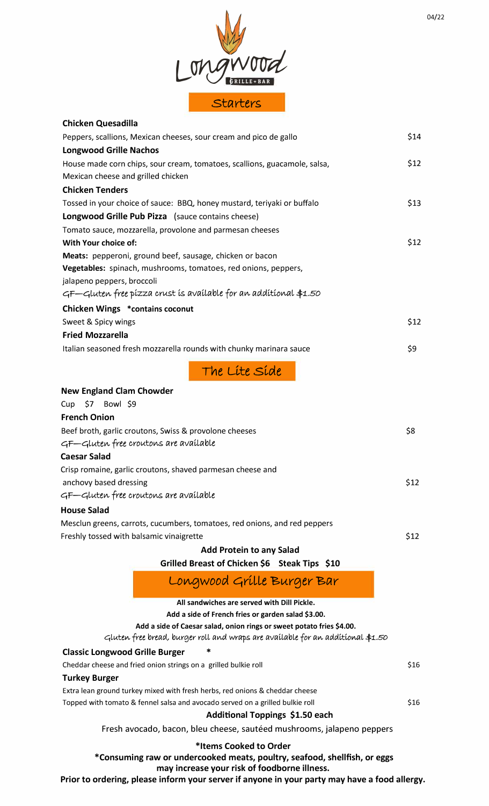

| <b>Chicken Quesadilla</b>                                                 |      |
|---------------------------------------------------------------------------|------|
| Peppers, scallions, Mexican cheeses, sour cream and pico de gallo         | \$14 |
| <b>Longwood Grille Nachos</b>                                             |      |
| House made corn chips, sour cream, tomatoes, scallions, guacamole, salsa, | \$12 |
| Mexican cheese and grilled chicken                                        |      |
| <b>Chicken Tenders</b>                                                    |      |
| Tossed in your choice of sauce: BBQ, honey mustard, teriyaki or buffalo   | \$13 |
| Longwood Grille Pub Pizza (sauce contains cheese)                         |      |
| Tomato sauce, mozzarella, provolone and parmesan cheeses                  |      |
| With Your choice of:                                                      | \$12 |
| Meats: pepperoni, ground beef, sausage, chicken or bacon                  |      |
| Vegetables: spinach, mushrooms, tomatoes, red onions, peppers,            |      |
| jalapeno peppers, broccoli                                                |      |
| GF—Gluten free pízza crust ís avaílable for an addítíonal \$1.50          |      |
| <b>Chicken Wings *contains coconut</b>                                    |      |
| Sweet & Spicy wings                                                       | \$12 |
| <b>Fried Mozzarella</b>                                                   |      |
| Italian seasoned fresh mozzarella rounds with chunky marinara sauce       | \$9  |
| The Lite Side                                                             |      |
| <b>New England Clam Chowder</b>                                           |      |
| Cup \$7 Bowl \$9                                                          |      |
| <b>French Onion</b>                                                       |      |
| Beef broth, garlic croutons, Swiss & provolone cheeses                    | \$8  |
| GF—Gluten free croutons are available                                     |      |
| <b>Caesar Salad</b>                                                       |      |
| Crisp romaine, garlic croutons, shaved parmesan cheese and                |      |

anchovy based dressing  $$12$ GF-Gluten free croutons are available

## **House Salad**

Mesclun greens, carrots, cucumbers, tomatoes, red onions, and red peppers Freshly tossed with balsamic vinaigrette  $$12$ 

**Add Protein to any Salad** 

**Grilled Breast of Chicken \$6 Steak Tips \$10** 

Longwood Grille Burger Bar

| All sandwiches are served with Dill Pickle.                                      |      |
|----------------------------------------------------------------------------------|------|
| Add a side of French fries or garden salad \$3.00.                               |      |
| Add a side of Caesar salad, onion rings or sweet potato fries \$4.00.            |      |
| Gluten free bread, burger roll and wraps are available for an additional $$1.50$ |      |
| ∗<br><b>Classic Longwood Grille Burger</b>                                       |      |
| Cheddar cheese and fried onion strings on a grilled bulkie roll                  | \$16 |
| <b>Turkey Burger</b>                                                             |      |
| Extra lean ground turkey mixed with fresh herbs, red onions & cheddar cheese     |      |
| Topped with tomato & fennel salsa and avocado served on a grilled bulkie roll    | \$16 |
| Additional Toppings \$1.50 each                                                  |      |
| Fresh avocado, bacon, bleu cheese, sautéed mushrooms, jalapeno peppers           |      |
| *Items Cooked to Order                                                           |      |

**\*Consuming raw or undercooked meats, poultry, seafood, shellfish, or eggs may increase your risk of foodborne illness.** 

**Prior to ordering, please inform your server if anyone in your party may have a food allergy.**